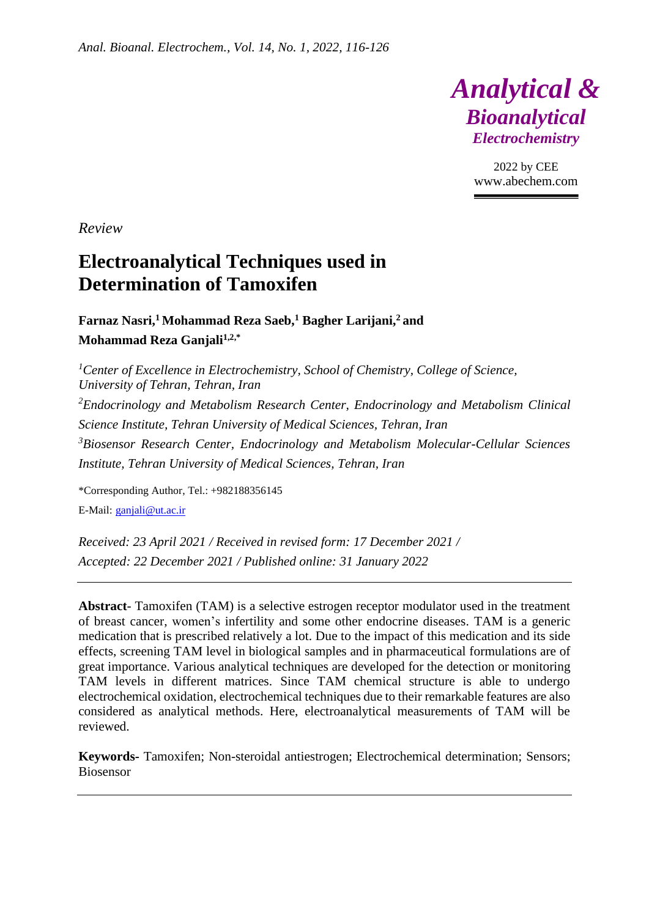

2022 by CEE www.abechem.com

*Review*

# **Electroanalytical Techniques used in Determination of Tamoxifen**

**Farnaz Nasri, <sup>1</sup>Mohammad Reza Saeb,<sup>1</sup> Bagher Larijani, <sup>2</sup>and Mohammad Reza Ganjali1,2,\***

*<sup>1</sup>Center of Excellence in Electrochemistry, School of Chemistry, College of Science, University of Tehran, Tehran, Iran <sup>2</sup>Endocrinology and Metabolism Research Center, Endocrinology and Metabolism Clinical Science Institute, Tehran University of Medical Sciences, Tehran, Iran <sup>3</sup>Biosensor Research Center, Endocrinology and Metabolism Molecular-Cellular Sciences Institute, Tehran University of Medical Sciences, Tehran, Iran*

\*Corresponding Author, Tel.: +982188356145 E-Mail: [ganjali@ut.ac.ir](mailto:ganjali@ut.ac.ir)

*Received: 23 April 2021 / Received in revised form: 17 December 2021 / Accepted: 22 December 2021 / Published online: 31 January 2022*

**Abstract**- Tamoxifen (TAM) is a selective estrogen receptor modulator used in the treatment of breast cancer, women's infertility and some other endocrine diseases. TAM is a generic medication that is prescribed relatively a lot. Due to the impact of this medication and its side effects, screening TAM level in biological samples and in pharmaceutical formulations are of great importance. Various analytical techniques are developed for the detection or monitoring TAM levels in different matrices. Since TAM chemical structure is able to undergo electrochemical oxidation, electrochemical techniques due to their remarkable features are also considered as analytical methods. Here, electroanalytical measurements of TAM will be reviewed.

**Keywords-** Tamoxifen; Non-steroidal antiestrogen; Electrochemical determination; Sensors; Biosensor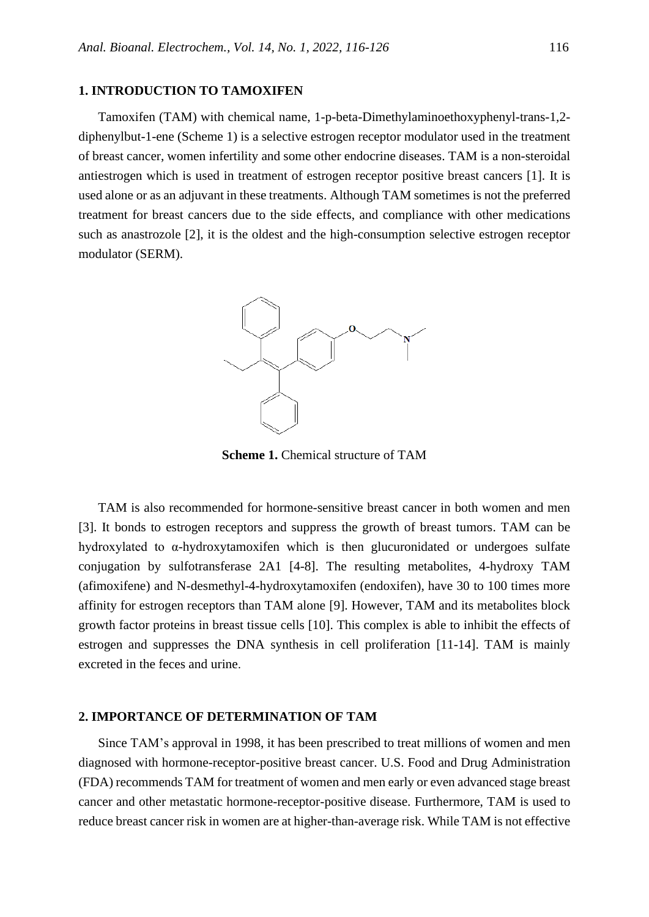### **1. INTRODUCTION TO TAMOXIFEN**

Tamoxifen (TAM) with chemical name, 1-p-beta-Dimethylaminoethoxyphenyl-trans-1,2 diphenylbut-1-ene (Scheme 1) is a selective estrogen receptor modulator used in the treatment of breast cancer, women infertility and some other endocrine diseases. TAM is a non-steroidal antiestrogen which is used in treatment of estrogen receptor positive breast cancers [1]. It is used alone or as an adjuvant in these treatments. Although TAM sometimes is not the preferred treatment for breast cancers due to the side effects, and compliance with other medications such as anastrozole [2], it is the oldest and the high-consumption selective estrogen receptor modulator (SERM).



**Scheme 1.** Chemical structure of TAM

TAM is also recommended for hormone-sensitive breast cancer in both women and men [3]. It bonds to estrogen receptors and suppress the growth of breast tumors. TAM can be hydroxylated to  $\alpha$ -hydroxytamoxifen which is then glucuronidated or undergoes sulfate conjugation by sulfotransferase 2A1 [4-8]. The resulting metabolites, 4-hydroxy TAM (afimoxifene) and N-desmethyl-4-hydroxytamoxifen (endoxifen), have 30 to 100 times more affinity for estrogen receptors than TAM alone [9]. However, TAM and its metabolites block growth factor proteins in breast tissue cells [10]. This complex is able to inhibit the effects of estrogen and suppresses the DNA synthesis in cell proliferation [11-14]. TAM is mainly excreted in the feces and urine.

#### **2. IMPORTANCE OF DETERMINATION OF TAM**

Since TAM's approval in 1998, it has been prescribed to treat millions of women and men diagnosed with hormone-receptor-positive breast cancer. U.S. Food and Drug Administration (FDA) recommends TAM for treatment of women and men early or even advanced stage breast cancer and other metastatic hormone-receptor-positive disease. Furthermore, TAM is used to reduce breast cancer risk in women are at higher-than-average risk. While TAM is not effective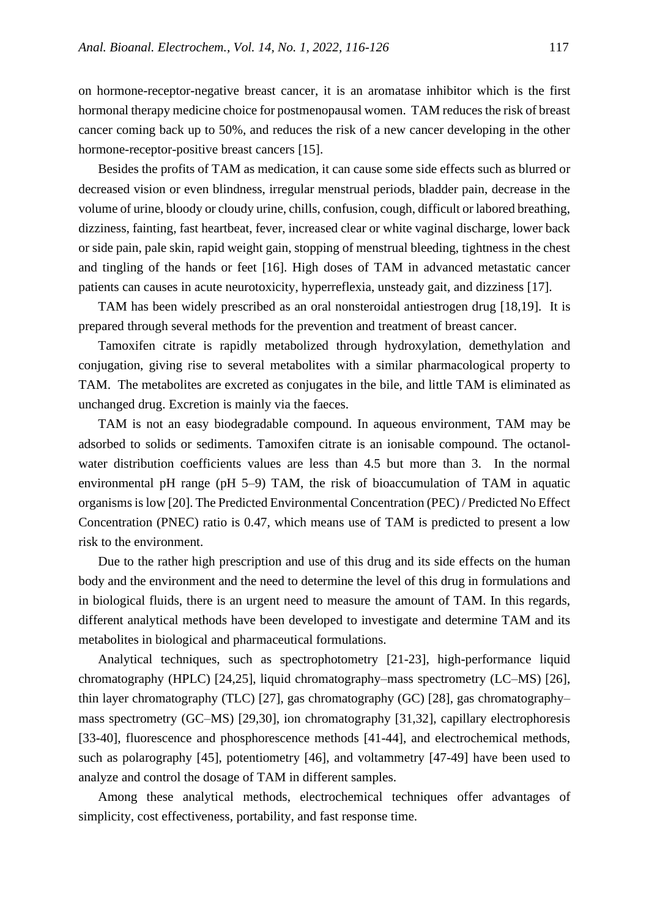on hormone-receptor-negative breast cancer, it is an aromatase inhibitor which is the first hormonal therapy medicine choice for postmenopausal women. TAM reduces the risk of breast cancer coming back up to 50%, and reduces the risk of a new cancer developing in the other hormone-receptor-positive breast cancers [15].

Besides the profits of TAM as medication, it can cause some side effects such as blurred or decreased vision or even blindness, irregular menstrual periods, bladder pain, decrease in the volume of urine, bloody or cloudy urine, chills, confusion, cough, difficult or labored breathing, dizziness, fainting, fast heartbeat, fever, increased clear or white vaginal discharge, lower back or side pain, pale skin, rapid weight gain, stopping of menstrual bleeding, tightness in the chest and tingling of the hands or feet [16]. High doses of TAM in advanced metastatic cancer patients can causes in acute neurotoxicity, hyperreflexia, unsteady gait, and dizziness [17].

TAM has been widely prescribed as an oral nonsteroidal antiestrogen drug [18,19]. It is prepared through several methods for the prevention and treatment of breast cancer.

Tamoxifen citrate is rapidly metabolized through hydroxylation, demethylation and conjugation, giving rise to several metabolites with a similar pharmacological property to TAM. The metabolites are excreted as conjugates in the bile, and little TAM is eliminated as unchanged drug. Excretion is mainly via the faeces.

TAM is not an easy biodegradable compound. In aqueous environment, TAM may be adsorbed to solids or sediments. Tamoxifen citrate is an ionisable compound. The octanolwater distribution coefficients values are less than 4.5 but more than 3. In the normal environmental pH range (pH 5–9) TAM, the risk of bioaccumulation of TAM in aquatic organisms is low [20]. The Predicted Environmental Concentration (PEC) / Predicted No Effect Concentration (PNEC) ratio is 0.47, which means use of TAM is predicted to present a low risk to the environment.

Due to the rather high prescription and use of this drug and its side effects on the human body and the environment and the need to determine the level of this drug in formulations and in biological fluids, there is an urgent need to measure the amount of TAM. In this regards, different analytical methods have been developed to investigate and determine TAM and its metabolites in biological and pharmaceutical formulations.

Analytical techniques, such as spectrophotometry [21-23], high-performance liquid chromatography (HPLC) [24,25], liquid chromatography–mass spectrometry (LC–MS) [26], thin layer chromatography (TLC) [27], gas chromatography (GC) [28], gas chromatography– mass spectrometry (GC–MS) [29,30], ion chromatography [31,32], capillary electrophoresis [33-40], fluorescence and phosphorescence methods [41-44], and electrochemical methods, such as polarography [45], potentiometry [46], and voltammetry [47-49] have been used to analyze and control the dosage of TAM in different samples.

Among these analytical methods, electrochemical techniques offer advantages of simplicity, cost effectiveness, portability, and fast response time.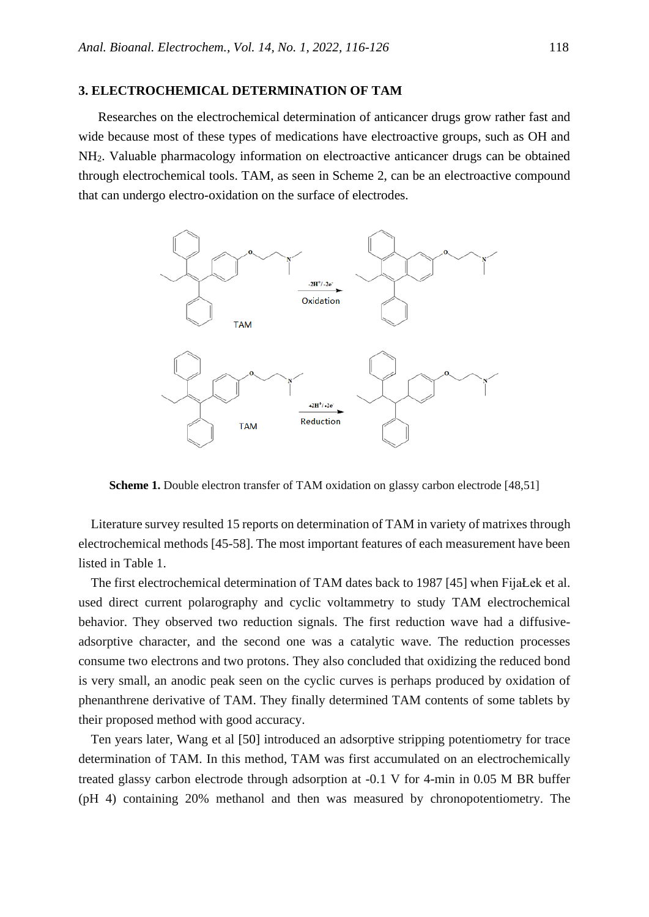### **3. ELECTROCHEMICAL DETERMINATION OF TAM**

Researches on the electrochemical determination of anticancer drugs grow rather fast and wide because most of these types of medications have electroactive groups, such as OH and NH2. Valuable pharmacology information on electroactive anticancer drugs can be obtained through electrochemical tools. TAM, as seen in Scheme 2, can be an electroactive compound that can undergo electro-oxidation on the surface of electrodes.



**Scheme 1.** Double electron transfer of TAM oxidation on glassy carbon electrode [48,51]

Literature survey resulted 15 reports on determination of TAM in variety of matrixes through electrochemical methods [45-58]. The most important features of each measurement have been listed in Table 1.

The first electrochemical determination of TAM dates back to 1987 [45] when FijaŁek et al. used direct current polarography and cyclic voltammetry to study TAM electrochemical behavior. They observed two reduction signals. The first reduction wave had a diffusiveadsorptive character, and the second one was a catalytic wave. The reduction processes consume two electrons and two protons. They also concluded that oxidizing the reduced bond is very small, an anodic peak seen on the cyclic curves is perhaps produced by oxidation of phenanthrene derivative of TAM. They finally determined TAM contents of some tablets by their proposed method with good accuracy.

Ten years later, Wang et al [50] introduced an adsorptive stripping potentiometry for trace determination of TAM. In this method, TAM was first accumulated on an electrochemically treated glassy carbon electrode through adsorption at -0.1 V for 4-min in 0.05 M BR buffer (pH 4) containing 20% methanol and then was measured by chronopotentiometry. The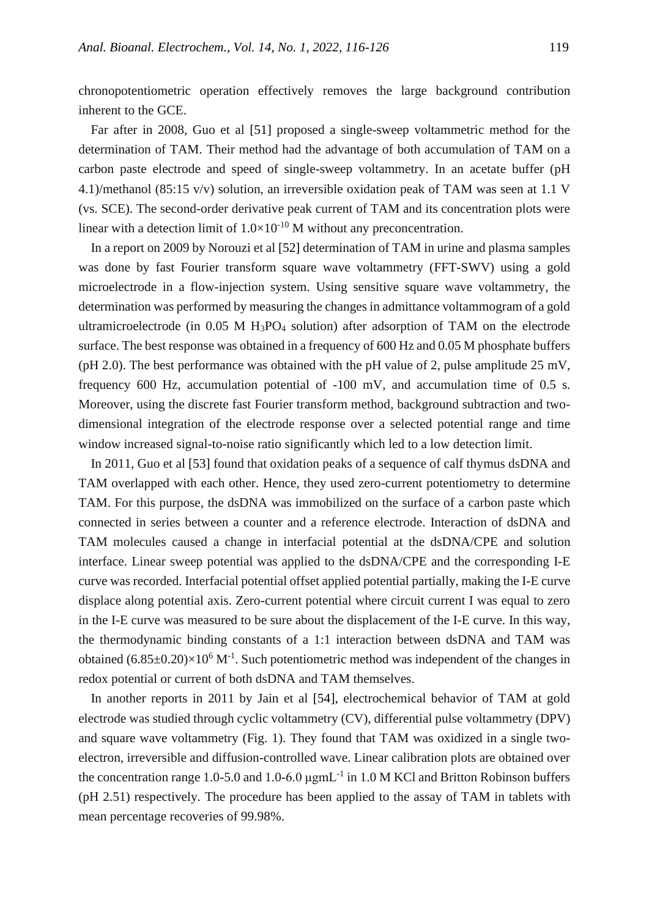chronopotentiometric operation effectively removes the large background contribution inherent to the GCE.

Far after in 2008, Guo et al [51] proposed a single-sweep voltammetric method for the determination of TAM. Their method had the advantage of both accumulation of TAM on a carbon paste electrode and speed of single-sweep voltammetry. In an acetate buffer (pH 4.1)/methanol (85:15 v/v) solution, an irreversible oxidation peak of TAM was seen at 1.1 V (vs. SCE). The second-order derivative peak current of TAM and its concentration plots were linear with a detection limit of  $1.0 \times 10^{-10}$  M without any preconcentration.

In a report on 2009 by Norouzi et al [52] determination of TAM in urine and plasma samples was done by fast Fourier transform square wave voltammetry (FFT-SWV) using a gold microelectrode in a flow-injection system. Using sensitive square wave voltammetry, the determination was performed by measuring the changes in admittance voltammogram of a gold ultramicroelectrode (in  $0.05$  M H<sub>3</sub>PO<sub>4</sub> solution) after adsorption of TAM on the electrode surface. The best response was obtained in a frequency of 600 Hz and 0.05 M phosphate buffers (pH 2.0). The best performance was obtained with the pH value of 2, pulse amplitude 25 mV, frequency 600 Hz, accumulation potential of -100 mV, and accumulation time of 0.5 s. Moreover, using the discrete fast Fourier transform method, background subtraction and twodimensional integration of the electrode response over a selected potential range and time window increased signal-to-noise ratio significantly which led to a low detection limit.

In 2011, Guo et al [53] found that oxidation peaks of a sequence of calf thymus dsDNA and TAM overlapped with each other. Hence, they used zero-current potentiometry to determine TAM. For this purpose, the dsDNA was immobilized on the surface of a carbon paste which connected in series between a counter and a reference electrode. Interaction of dsDNA and TAM molecules caused a change in interfacial potential at the dsDNA/CPE and solution interface. Linear sweep potential was applied to the dsDNA/CPE and the corresponding I-E curve was recorded. Interfacial potential offset applied potential partially, making the I-E curve displace along potential axis. Zero-current potential where circuit current I was equal to zero in the I-E curve was measured to be sure about the displacement of the I-E curve. In this way, the thermodynamic binding constants of a 1:1 interaction between dsDNA and TAM was obtained  $(6.85\pm0.20)\times10^6$  M<sup>-1</sup>. Such potentiometric method was independent of the changes in redox potential or current of both dsDNA and TAM themselves.

In another reports in 2011 by Jain et al [54], electrochemical behavior of TAM at gold electrode was studied through cyclic voltammetry (CV), differential pulse voltammetry (DPV) and square wave voltammetry (Fig. 1). They found that TAM was oxidized in a single twoelectron, irreversible and diffusion-controlled wave. Linear calibration plots are obtained over the concentration range 1.0-5.0 and 1.0-6.0  $\mu$ gmL<sup>-1</sup> in 1.0 M KCl and Britton Robinson buffers (pH 2.51) respectively. The procedure has been applied to the assay of TAM in tablets with mean percentage recoveries of 99.98%.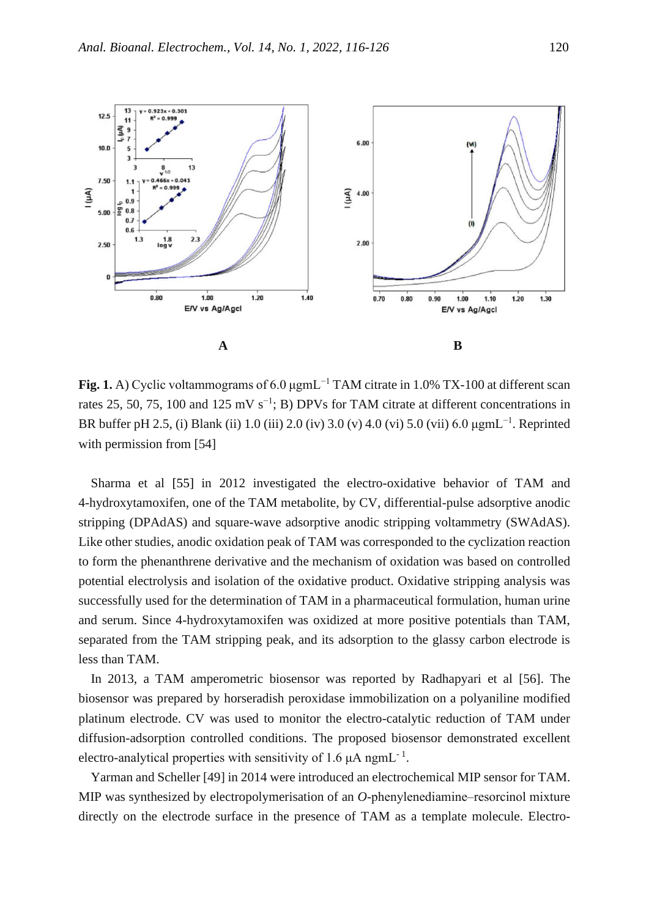

**Fig. 1.** A) Cyclic voltammograms of 6.0 μgmL−1 TAM citrate in 1.0% TX-100 at different scan rates 25, 50, 75, 100 and 125 mV s<sup>-1</sup>; B) DPVs for TAM citrate at different concentrations in BR buffer pH 2.5, (i) Blank (ii) 1.0 (iii) 2.0 (iv) 3.0 (v) 4.0 (vi) 5.0 (vii) 6.0  $\mu$ gmL<sup>-1</sup>. Reprinted with permission from [54]

Sharma et al [55] in 2012 investigated the electro-oxidative behavior of TAM and 4-hydroxytamoxifen, one of the TAM metabolite, by CV, differential-pulse adsorptive anodic stripping (DPAdAS) and square-wave adsorptive anodic stripping voltammetry (SWAdAS). Like other studies, anodic oxidation peak of TAM was corresponded to the cyclization reaction to form the phenanthrene derivative and the mechanism of oxidation was based on controlled potential electrolysis and isolation of the oxidative product. Oxidative stripping analysis was successfully used for the determination of TAM in a pharmaceutical formulation, human urine and serum. Since 4-hydroxytamoxifen was oxidized at more positive potentials than TAM, separated from the TAM stripping peak, and its adsorption to the glassy carbon electrode is less than TAM.

In 2013, a TAM amperometric biosensor was reported by Radhapyari et al [56]. The biosensor was prepared by horseradish peroxidase immobilization on a polyaniline modified platinum electrode. CV was used to monitor the electro-catalytic reduction of TAM under diffusion-adsorption controlled conditions. The proposed biosensor demonstrated excellent electro-analytical properties with sensitivity of 1.6  $\mu$ A ngmL<sup>-1</sup>.

Yarman and Scheller [49] in 2014 were introduced an electrochemical MIP sensor for TAM. MIP was synthesized by electropolymerisation of an *O*-phenylenediamine–resorcinol mixture directly on the electrode surface in the presence of TAM as a template molecule. Electro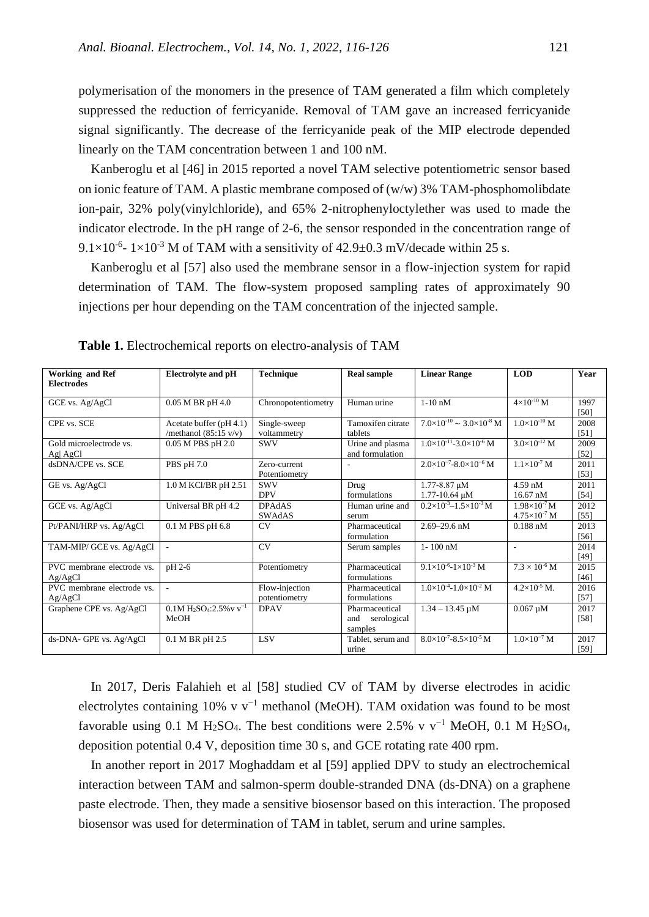polymerisation of the monomers in the presence of TAM generated a film which completely suppressed the reduction of ferricyanide. Removal of TAM gave an increased ferricyanide signal significantly. The decrease of the ferricyanide peak of the MIP electrode depended linearly on the TAM concentration between 1 and 100 nM.

Kanberoglu et al [46] in 2015 reported a novel TAM selective potentiometric sensor based on ionic feature of TAM. A plastic membrane composed of (w/w) 3% TAM-phosphomolibdate ion-pair, 32% poly(vinylchloride), and 65% 2-nitrophenyloctylether was used to made the indicator electrode. In the pH range of 2-6, the sensor responded in the concentration range of  $9.1 \times 10^{-6}$  –  $1 \times 10^{-3}$  M of TAM with a sensitivity of 42.9±0.3 mV/decade within 25 s.

Kanberoglu et al [57] also used the membrane sensor in a flow-injection system for rapid determination of TAM. The flow-system proposed sampling rates of approximately 90 injections per hour depending on the TAM concentration of the injected sample.

| <b>Working and Ref</b><br><b>Electrodes</b> | <b>Electrolyte and pH</b>                                    | <b>Technique</b>                | <b>Real sample</b>                              | <b>Linear Range</b>                            | <b>LOD</b>                                     | Year         |
|---------------------------------------------|--------------------------------------------------------------|---------------------------------|-------------------------------------------------|------------------------------------------------|------------------------------------------------|--------------|
| GCE vs. Ag/AgCl                             | $0.05$ M BR pH 4.0                                           | Chronopotentiometry             | Human urine                                     | $1-10$ nM                                      | $4\times10^{-10}$ M                            | 1997<br>[50] |
| CPE vs. SCE                                 | Acetate buffer $(pH 4.1)$<br>/methanol $(85:15 \text{ v/v})$ | Single-sweep<br>voltammetry     | Tamoxifen citrate<br>tablets                    | $7.0\times10^{-10} \approx 3.0\times10^{-8}$ M | $1.0\times10^{-10}$ M                          | 2008<br>[51] |
| Gold microelectrode vs.<br>Ag AgCl          | 0.05 M PBS pH 2.0                                            | <b>SWV</b>                      | Urine and plasma<br>and formulation             | $1.0\times10^{-11}$ -3.0 $\times10^{-6}$ M     | $3.0\times10^{-12}$ M                          | 2009<br>[52] |
| dsDNA/CPE vs. SCE                           | PBS pH 7.0                                                   | Zero-current<br>Potentiometry   |                                                 | $2.0\times10^{-7} - 8.0\times10^{-6}$ M        | $1.1\times10^{-7}$ M                           | 2011<br>[53] |
| GE vs. Ag/AgCl                              | 1.0 M KCl/BR pH 2.51                                         | <b>SWV</b><br><b>DPV</b>        | Drug<br>formulations                            | 1.77-8.87 µM<br>$1.77 - 10.64 \mu M$           | $4.59$ nM<br>$16.67$ nM                        | 2011<br>[54] |
| GCE vs. Ag/AgCl                             | Universal BR pH 4.2                                          | <b>DPAdAS</b><br><b>SWAdAS</b>  | Human urine and<br>serum                        | $0.2\times10^{-3} - 1.5\times10^{-3}$ M        | $1.98\times10^{-7}$ M<br>$4.75\times10^{-7}$ M | 2012<br>[55] |
| Pt/PANI/HRP vs. Ag/AgCl                     | 0.1 M PBS pH 6.8                                             | CV                              | Pharmaceutical<br>formulation                   | $2.69 - 29.6$ nM                               | $0.188$ nM                                     | 2013<br>[56] |
| TAM-MIP/ GCE vs. Ag/AgCl                    | $\overline{\phantom{a}}$                                     | CV                              | Serum samples                                   | $1 - 100$ nM                                   | ÷                                              | 2014<br>[49] |
| PVC membrane electrode vs.<br>Ag/AgCl       | pH 2-6                                                       | Potentiometry                   | Pharmaceutical<br>formulations                  | $9.1\times10^{-6}$ -1 $\times10^{-3}$ M        | $7.3 \times 10^{-6}$ M                         | 2015<br>[46] |
| PVC membrane electrode vs.<br>Ag/AgCl       | $\blacksquare$                                               | Flow-injection<br>potentiometry | Pharmaceutical<br>formulations                  | $1.0\times10^{-4}$ -1.0 $\times10^{-2}$ M      | $4.2\times10^{-5}$ M.                          | 2016<br>[57] |
| Graphene CPE vs. Ag/AgCl                    | $0.1M H_2SO_4:2.5\%$ v v <sup>-1</sup><br>MeOH               | <b>DPAV</b>                     | Pharmaceutical<br>serological<br>and<br>samples | $1.34 - 13.45 \mu M$                           | $0.067 \mu M$                                  | 2017<br>[58] |
| ds-DNA- GPE vs. Ag/AgCl                     | 0.1 M BR pH 2.5                                              | <b>LSV</b>                      | Tablet, serum and<br>urine                      | $8.0\times10^{-7} - 8.5\times10^{-5}$ M        | $1.0\times10^{-7}$ M                           | 2017<br>[59] |

**Table 1.** Electrochemical reports on electro-analysis of TAM

In 2017, Deris Falahieh et al [58] studied CV of TAM by diverse electrodes in acidic electrolytes containing 10% v v−1 methanol (MeOH). TAM oxidation was found to be most favorable using 0.1 M H<sub>2</sub>SO<sub>4</sub>. The best conditions were 2.5% v v<sup>-1</sup> MeOH, 0.1 M H<sub>2</sub>SO<sub>4</sub>, deposition potential 0.4 V, deposition time 30 s, and GCE rotating rate 400 rpm.

In another report in 2017 Moghaddam et al [59] applied DPV to study an electrochemical interaction between TAM and salmon-sperm double-stranded DNA (ds-DNA) on a graphene paste electrode. Then, they made a sensitive biosensor based on this interaction. The proposed biosensor was used for determination of TAM in tablet, serum and urine samples.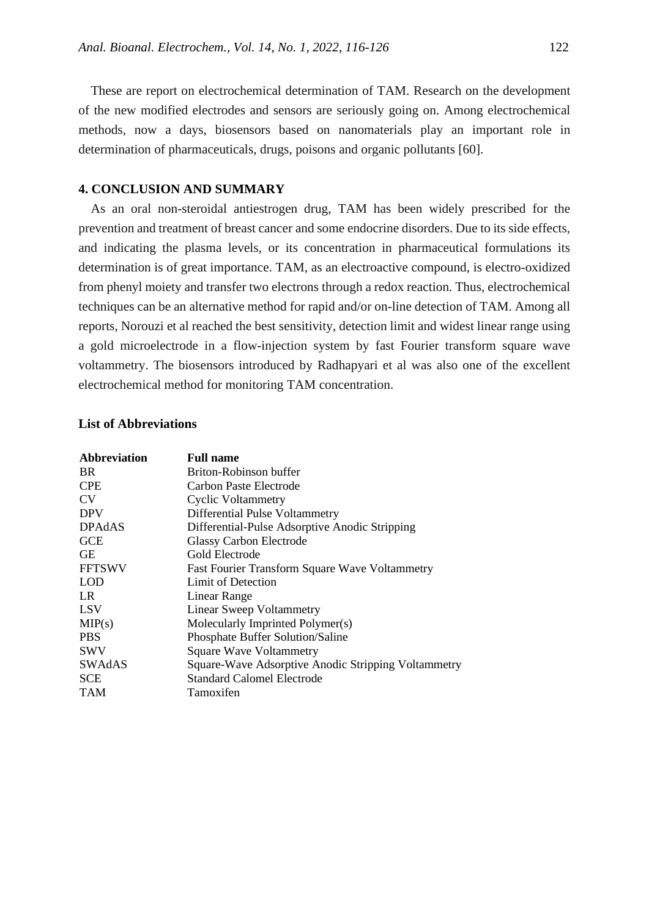These are report on electrochemical determination of TAM. Research on the development of the new modified electrodes and sensors are seriously going on. Among electrochemical methods, now a days, biosensors based on nanomaterials play an important role in determination of pharmaceuticals, drugs, poisons and organic pollutants [60].

## **4. CONCLUSION AND SUMMARY**

As an oral non-steroidal antiestrogen drug, TAM has been widely prescribed for the prevention and treatment of breast cancer and some endocrine disorders. Due to its side effects, and indicating the plasma levels, or its concentration in pharmaceutical formulations its determination is of great importance. TAM, as an electroactive compound, is electro-oxidized from phenyl moiety and transfer two electrons through a redox reaction. Thus, electrochemical techniques can be an alternative method for rapid and/or on-line detection of TAM. Among all reports, Norouzi et al reached the best sensitivity, detection limit and widest linear range using a gold microelectrode in a flow-injection system by fast Fourier transform square wave voltammetry. The biosensors introduced by Radhapyari et al was also one of the excellent electrochemical method for monitoring TAM concentration.

## **List of Abbreviations**

| <b>Abbreviation</b> | <b>Full name</b>                                      |  |  |
|---------------------|-------------------------------------------------------|--|--|
| BR.                 | Briton-Robinson buffer                                |  |  |
| <b>CPE</b>          | Carbon Paste Electrode                                |  |  |
| <b>CV</b>           | <b>Cyclic Voltammetry</b>                             |  |  |
| <b>DPV</b>          | Differential Pulse Voltammetry                        |  |  |
| <b>DPAdAS</b>       | Differential-Pulse Adsorptive Anodic Stripping        |  |  |
| <b>GCE</b>          | <b>Glassy Carbon Electrode</b>                        |  |  |
| <b>GE</b>           | Gold Electrode                                        |  |  |
| <b>FFTSWV</b>       | <b>Fast Fourier Transform Square Wave Voltammetry</b> |  |  |
| <b>LOD</b>          | Limit of Detection                                    |  |  |
| LR.                 | Linear Range                                          |  |  |
| LSV                 | Linear Sweep Voltammetry                              |  |  |
| MIP(s)              | Molecularly Imprinted Polymer(s)                      |  |  |
| <b>PBS</b>          | Phosphate Buffer Solution/Saline                      |  |  |
| <b>SWV</b>          | <b>Square Wave Voltammetry</b>                        |  |  |
| SWAdAS              | Square-Wave Adsorptive Anodic Stripping Voltammetry   |  |  |
| <b>SCE</b>          | <b>Standard Calomel Electrode</b>                     |  |  |
| <b>TAM</b>          | Tamoxifen                                             |  |  |
|                     |                                                       |  |  |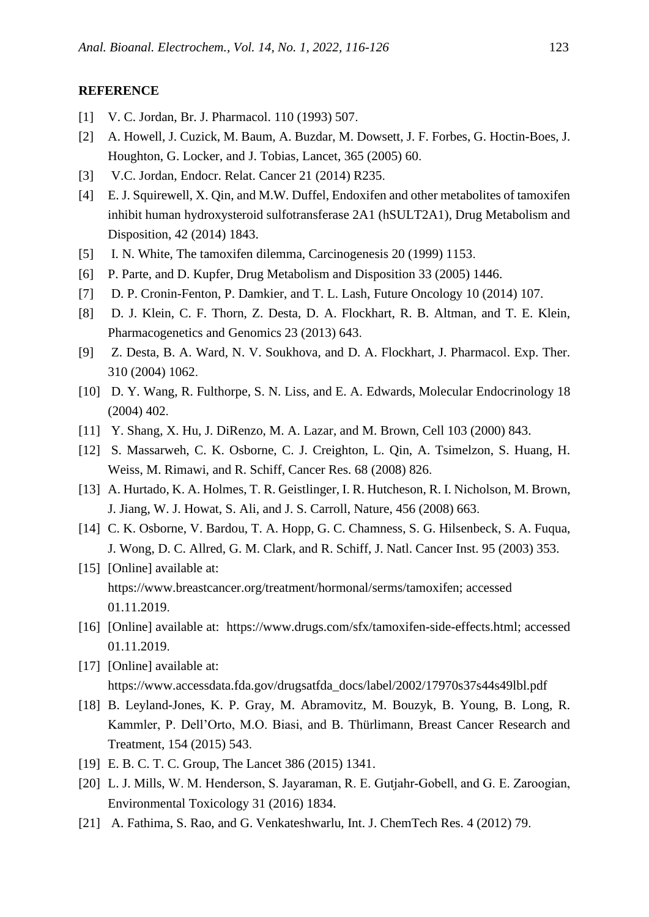#### **REFERENCE**

- [1] V. C. Jordan, Br. J. Pharmacol. 110 (1993) 507.
- [2] A. Howell, J. Cuzick, M. Baum, A. Buzdar, M. Dowsett, J. F. Forbes, G. Hoctin-Boes, J. Houghton, G. Locker, and J. Tobias, Lancet, 365 (2005) 60.
- [3] V.C. Jordan, Endocr. Relat. Cancer 21 (2014) R235.
- [4] E. J. Squirewell, X. Qin, and M.W. Duffel, Endoxifen and other metabolites of tamoxifen inhibit human hydroxysteroid sulfotransferase 2A1 (hSULT2A1), Drug Metabolism and Disposition, 42 (2014) 1843.
- [5] I. N. White, The tamoxifen dilemma, Carcinogenesis 20 (1999) 1153.
- [6] P. Parte, and D. Kupfer, Drug Metabolism and Disposition 33 (2005) 1446.
- [7] D. P. Cronin-Fenton, P. Damkier, and T. L. Lash, Future Oncology 10 (2014) 107.
- [8] D. J. Klein, C. F. Thorn, Z. Desta, D. A. Flockhart, R. B. Altman, and T. E. Klein, Pharmacogenetics and Genomics 23 (2013) 643.
- [9] Z. Desta, B. A. Ward, N. V. Soukhova, and D. A. Flockhart, J. Pharmacol. Exp. Ther. 310 (2004) 1062.
- [10] D. Y. Wang, R. Fulthorpe, S. N. Liss, and E. A. Edwards, Molecular Endocrinology 18 (2004) 402.
- [11] Y. Shang, X. Hu, J. DiRenzo, M. A. Lazar, and M. Brown, Cell 103 (2000) 843.
- [12] S. Massarweh, C. K. Osborne, C. J. Creighton, L. Qin, A. Tsimelzon, S. Huang, H. Weiss, M. Rimawi, and R. Schiff, Cancer Res. 68 (2008) 826.
- [13] A. Hurtado, K. A. Holmes, T. R. Geistlinger, I. R. Hutcheson, R. I. Nicholson, M. Brown, J. Jiang, W. J. Howat, S. Ali, and J. S. Carroll, Nature, 456 (2008) 663 .
- [14] C. K. Osborne, V. Bardou, T. A. Hopp, G. C. Chamness, S. G. Hilsenbeck, S. A. Fuqua, J. Wong, D. C. Allred, G. M. Clark, and R. Schiff, J. Natl. Cancer Inst. 95 (2003) 353.
- [15] [Online] available at: https://www.breastcancer.org/treatment/hormonal/serms/tamoxifen; accessed 01.11.2019.
- [16] [Online] available at: https://www.drugs.com/sfx/tamoxifen-side-effects.html; accessed 01.11.2019.
- [17] [Online] available at: https://www.accessdata.fda.gov/drugsatfda\_docs/label/2002/17970s37s44s49lbl.pdf
- [18] B. Leyland-Jones, K. P. Gray, M. Abramovitz, M. Bouzyk, B. Young, B. Long, R. Kammler, P. Dell'Orto, M.O. Biasi, and B. Thürlimann, Breast Cancer Research and Treatment, 154 (2015) 543.
- [19] E. B. C. T. C. Group, The Lancet 386 (2015) 1341.
- [20] L. J. Mills, W. M. Henderson, S. Jayaraman, R. E. Gutjahr-Gobell, and G. E. Zaroogian, Environmental Toxicology 31 (2016) 1834.
- [21] A. Fathima, S. Rao, and G. Venkateshwarlu, Int. J. ChemTech Res. 4 (2012) 79.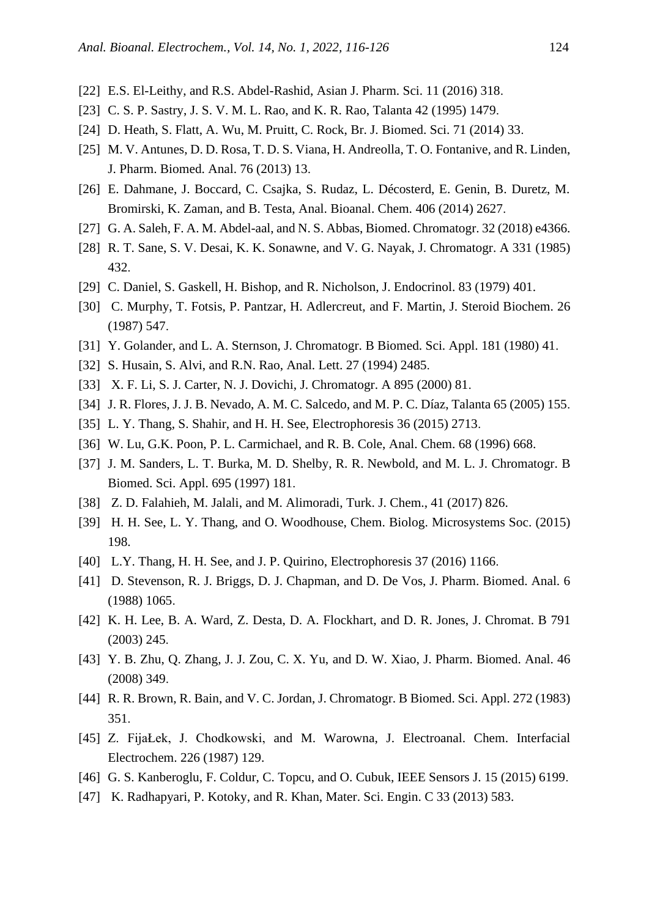- [22] E.S. El-Leithy, and R.S. Abdel-Rashid, Asian J. Pharm. Sci. 11 (2016) 318.
- [23] C. S. P. Sastry, J. S. V. M. L. Rao, and K. R. Rao, Talanta 42 (1995) 1479.
- [24] D. Heath, S. Flatt, A. Wu, M. Pruitt, C. Rock, Br. J. Biomed. Sci. 71 (2014) 33.
- [25] M. V. Antunes, D. D. Rosa, T. D. S. Viana, H. Andreolla, T. O. Fontanive, and R. Linden, J. Pharm. Biomed. Anal. 76 (2013) 13.
- [26] E. Dahmane, J. Boccard, C. Csajka, S. Rudaz, L. Décosterd, E. Genin, B. Duretz, M. Bromirski, K. Zaman, and B. Testa, Anal. Bioanal. Chem. 406 (2014) 2627.
- [27] G. A. Saleh, F. A. M. Abdel-aal, and N. S. Abbas, Biomed. Chromatogr. 32 (2018) e4366.
- [28] R. T. Sane, S. V. Desai, K. K. Sonawne, and V. G. Nayak, J. Chromatogr. A 331 (1985) 432.
- [29] C. Daniel, S. Gaskell, H. Bishop, and R. Nicholson, J. Endocrinol. 83 (1979) 401.
- [30] C. Murphy, T. Fotsis, P. Pantzar, H. Adlercreut, and F. Martin, J. Steroid Biochem. 26 (1987) 547 .
- [31] Y. Golander, and L. A. Sternson, J. Chromatogr. B Biomed. Sci. Appl. 181 (1980) 41.
- [32] S. Husain, S. Alvi, and R.N. Rao, Anal. Lett. 27 (1994) 2485.
- [33] X. F. Li, S. J. Carter, N. J. Dovichi, J. Chromatogr. A 895 (2000) 81.
- [34] J. R. Flores, J. J. B. Nevado, A. M. C. Salcedo, and M. P. C. Díaz, Talanta 65 (2005) 155.
- [35] L. Y. Thang, S. Shahir, and H. H. See, Electrophoresis 36 (2015) 2713.
- [36] W. Lu, G.K. Poon, P. L. Carmichael, and R. B. Cole, Anal. Chem. 68 (1996) 668.
- [37] J. M. Sanders, L. T. Burka, M. D. Shelby, R. R. Newbold, and M. L. J. Chromatogr. B Biomed. Sci. Appl. 695 (1997) 181.
- [38] Z. D. Falahieh, M. Jalali, and M. Alimoradi, Turk. J. Chem., 41 (2017) 826.
- [39] H. H. See, L. Y. Thang, and O. Woodhouse, Chem. Biolog. Microsystems Soc. (2015) 198.
- [40] L.Y. Thang, H. H. See, and J. P. Quirino, Electrophoresis 37 (2016) 1166.
- [41] D. Stevenson, R. J. Briggs, D. J. Chapman, and D. De Vos, J. Pharm. Biomed. Anal. 6 (1988) 1065 .
- [42] K. H. Lee, B. A. Ward, Z. Desta, D. A. Flockhart, and D. R. Jones, J. Chromat. B 791 (2003) 245.
- [43] Y. B. Zhu, Q. Zhang, J. J. Zou, C. X. Yu, and D. W. Xiao, J. Pharm. Biomed. Anal. 46 (2008) 349 .
- [44] R. R. Brown, R. Bain, and V. C. Jordan, J. Chromatogr. B Biomed. Sci. Appl. 272 (1983) 351.
- [45] Z. FijaŁek, J. Chodkowski, and M. Warowna, J. Electroanal. Chem. Interfacial Electrochem. 226 (1987) 129.
- [46] G. S. Kanberoglu, F. Coldur, C. Topcu, and O. Cubuk, IEEE Sensors J. 15 (2015) 6199.
- [47] K. Radhapyari, P. Kotoky, and R. Khan, Mater. Sci. Engin. C 33 (2013) 583.